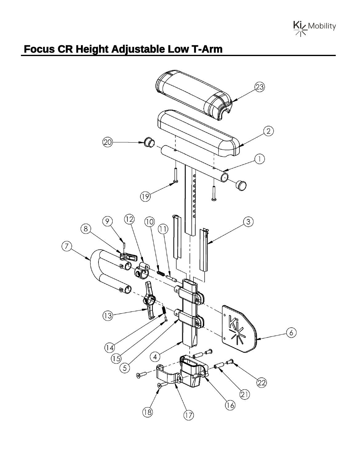

## **Focus CR Height Adjustable Low T-Arm**

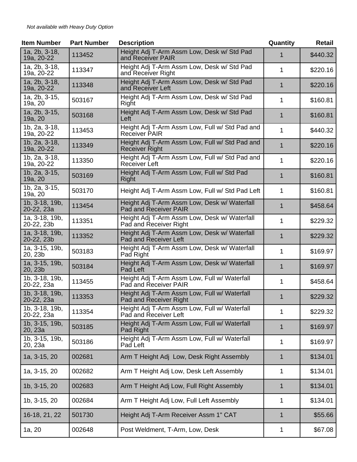| <b>Item Number</b>           | <b>Part Number</b> | <b>Description</b>                                                      | Quantity    | <b>Retail</b> |
|------------------------------|--------------------|-------------------------------------------------------------------------|-------------|---------------|
| 1a, 2b, 3-18,<br>19a, 20-22  | 113452             | Height Adj T-Arm Assm Low, Desk w/ Std Pad<br>and Receiver PAIR         | 1           | \$440.32      |
| 1a, 2b, 3-18,<br>19a, 20-22  | 113347             | Height Adj T-Arm Assm Low, Desk w/ Std Pad<br>and Receiver Right        | 1           | \$220.16      |
| 1a, 2b, 3-18,<br>19a, 20-22  | 113348             | Height Adj T-Arm Assm Low, Desk w/ Std Pad<br>and Receiver Left         | $\mathbf 1$ | \$220.16      |
| 1a, 2b, 3-15,<br>19a, 20     | 503167             | Height Adj T-Arm Assm Low, Desk w/ Std Pad<br>Right                     | 1           | \$160.81      |
| 1a, 2b, 3-15,<br>19a, 20     | 503168             | Height Adj T-Arm Assm Low, Desk w/ Std Pad<br>Left                      | 1           | \$160.81      |
| 1b, 2a, 3-18,<br>19a, 20-22  | 113453             | Height Adj T-Arm Assm Low, Full w/ Std Pad and<br><b>Receiver PAIR</b>  | 1           | \$440.32      |
| 1b, 2a, 3-18,<br>19a, 20-22  | 113349             | Height Adj T-Arm Assm Low, Full w/ Std Pad and<br><b>Receiver Right</b> | 1           | \$220.16      |
| 1b, 2a, 3-18,<br>19a, 20-22  | 113350             | Height Adj T-Arm Assm Low, Full w/ Std Pad and<br>Receiver Left         | 1           | \$220.16      |
| 1b, 2a, 3-15,<br>19a, 20     | 503169             | Height Adj T-Arm Assm Low, Full w/ Std Pad<br>Right                     | 1           | \$160.81      |
| 1b, 2a, 3-15,<br>19a, 20     | 503170             | Height Adj T-Arm Assm Low, Full w/ Std Pad Left                         | 1           | \$160.81      |
| 1b, 3-18, 19b,<br>20-22, 23a | 113454             | Height Adj T-Arm Assm Low, Desk w/ Waterfall<br>Pad and Receiver PAIR   | 1           | \$458.64      |
| 1a, 3-18, 19b,<br>20-22, 23b | 113351             | Height Adj T-Arm Assm Low, Desk w/ Waterfall<br>Pad and Receiver Right  | 1           | \$229.32      |
| 1a, 3-18, 19b,<br>20-22, 23b | 113352             | Height Adj T-Arm Assm Low, Desk w/ Waterfall<br>Pad and Receiver Left   | $\mathbf 1$ | \$229.32      |
| 1a, 3-15, 19b,<br>20, 23b    | 503183             | Height Adj T-Arm Assm Low, Desk w/ Waterfall<br>Pad Right               | 1           | \$169.97      |
| 1a, 3-15, 19b,<br>20, 23b    | 503184             | Height Adj T-Arm Assm Low, Desk w/ Waterfall<br>Pad Left                | 1           | \$169.97      |
| 1b, 3-18, 19b,<br>20-22, 23a | 113455             | Height Adj T-Arm Assm Low, Full w/ Waterfall<br>Pad and Receiver PAIR   | 1           | \$458.64      |
| 1b, 3-18, 19b,<br>20-22, 23a | 113353             | Height Adj T-Arm Assm Low, Full w/ Waterfall<br>Pad and Receiver Right  | 1           | \$229.32      |
| 1b, 3-18, 19b,<br>20-22, 23a | 113354             | Height Adj T-Arm Assm Low, Full w/ Waterfall<br>Pad and Receiver Left   | 1           | \$229.32      |
| 1b, 3-15, 19b,<br>20, 23a    | 503185             | Height Adj T-Arm Assm Low, Full w/ Waterfall<br>Pad Right               | 1           | \$169.97      |
| $1b, 3-15, 19b,$<br>20, 23a  | 503186             | Height Adj T-Arm Assm Low, Full w/ Waterfall<br>Pad Left                | 1           | \$169.97      |
| 1a, 3-15, 20                 | 002681             | Arm T Height Adj Low, Desk Right Assembly                               | 1           | \$134.01      |
| 1a, 3-15, 20                 | 002682             | Arm T Height Adj Low, Desk Left Assembly                                | 1           | \$134.01      |
| 1b, 3-15, 20                 | 002683             | Arm T Height Adj Low, Full Right Assembly                               | 1           | \$134.01      |
| 1b, 3-15, 20                 | 002684             | Arm T Height Adj Low, Full Left Assembly                                | 1           | \$134.01      |
| 16-18, 21, 22                | 501730             | Height Adj T-Arm Receiver Assm 1" CAT                                   | 1           | \$55.66       |
| 1a, 20                       | 002648             | Post Weldment, T-Arm, Low, Desk                                         | 1           | \$67.08       |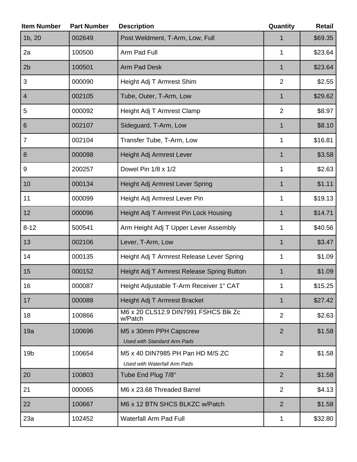| <b>Item Number</b> | <b>Part Number</b> | <b>Description</b>                                               | Quantity       | <b>Retail</b> |
|--------------------|--------------------|------------------------------------------------------------------|----------------|---------------|
| 1b, 20             | 002649             | Post Weldment, T-Arm, Low, Full                                  | 1              | \$69.35       |
| 2a                 | 100500             | Arm Pad Full                                                     | $\mathbf{1}$   | \$23.64       |
| 2 <sub>b</sub>     | 100501             | <b>Arm Pad Desk</b>                                              | $\mathbf{1}$   | \$23.64       |
| 3                  | 000090             | Height Adj T Armrest Shim                                        | $\overline{2}$ | \$2.55        |
| 4                  | 002105             | Tube, Outer, T-Arm, Low                                          | 1              | \$29.62       |
| 5                  | 000092             | Height Adj T Armrest Clamp                                       | $\overline{2}$ | \$8.97        |
| $6\phantom{1}6$    | 002107             | Sideguard, T-Arm, Low                                            | $\mathbf{1}$   | \$8.10        |
| $\overline{7}$     | 002104             | Transfer Tube, T-Arm, Low                                        | $\mathbf{1}$   | \$16.81       |
| 8                  | 000098             | Height Adj Armrest Lever                                         | $\mathbf{1}$   | \$3.58        |
| $9\,$              | 200257             | Dowel Pin 1/8 x 1/2                                              | $\mathbf{1}$   | \$2.63        |
| 10                 | 000134             | Height Adj Armrest Lever Spring                                  | 1              | \$1.11        |
| 11                 | 000099             | Height Adj Armrest Lever Pin                                     | 1              | \$19.13       |
| 12                 | 000096             | Height Adj T Armrest Pin Lock Housing                            | $\mathbf{1}$   | \$14.71       |
| $8 - 12$           | 500541             | Arm Height Adj T Upper Lever Assembly                            | 1              | \$40.56       |
| 13                 | 002106             | Lever, T-Arm, Low                                                | $\mathbf{1}$   | \$3.47        |
| 14                 | 000135             | Height Adj T Armrest Release Lever Spring                        | 1              | \$1.09        |
| 15                 | 000152             | Height Adj T Armrest Release Spring Button                       | 1              | \$1.09        |
| $16\,$             | 000087             | Height Adjustable T-Arm Receiver 1" CAT                          | 1              | \$15.25       |
| 17                 | 000088             | Height Adj T Armrest Bracket                                     | $\mathbf 1$    | \$27.42       |
| 18                 | 100866             | M6 x 20 CLS12.9 DIN7991 FSHCS Blk Zc<br>w/Patch                  | $\overline{2}$ | \$2.63        |
| 19a                | 100696             | M5 x 30mm PPH Capscrew<br><b>Used with Standard Arm Pads</b>     | $\overline{2}$ | \$1.58        |
| 19 <sub>b</sub>    | 100654             | M5 x 40 DIN7985 PH Pan HD M/S ZC<br>Used with Waterfall Arm Pads | $\overline{2}$ | \$1.58        |
| 20                 | 100803             | Tube End Plug 7/8"                                               | $\overline{2}$ | \$1.58        |
| 21                 | 000065             | M6 x 23.68 Threaded Barrel                                       | 2              | \$4.13        |
| 22                 | 100667             | M6 x 12 BTN SHCS BLKZC w/Patch                                   | $\overline{2}$ | \$1.58        |
| 23a                | 102452             | <b>Waterfall Arm Pad Full</b>                                    | 1              | \$32.80       |